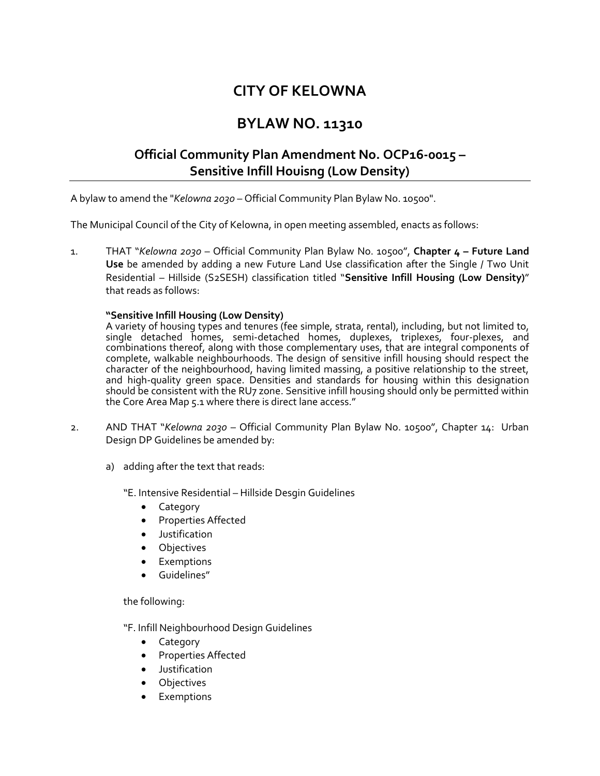# **CITY OF KELOWNA**

## **BYLAW NO. 11310**

## **Official Community Plan Amendment No. OCP16-0015 – Sensitive Infill Houisng (Low Density)**

A bylaw to amend the "*Kelowna 2030* – Official Community Plan Bylaw No. 10500".

The Municipal Council of the City of Kelowna, in open meeting assembled, enacts as follows:

1. THAT "*Kelowna 2030* – Official Community Plan Bylaw No. 10500", **Chapter 4 – Future Land Use** be amended by adding a new Future Land Use classification after the Single / Two Unit Residential – Hillside (S2SESH) classification titled "**Sensitive Infill Housing (Low Density)**" that reads as follows:

#### **"Sensitive Infill Housing (Low Density)**

A variety of housing types and tenures (fee simple, strata, rental), including, but not limited to, single detached homes, semi-detached homes, duplexes, triplexes, four-plexes, and combinations thereof, along with those complementary uses, that are integral components of complete, walkable neighbourhoods. The design of sensitive infill housing should respect the character of the neighbourhood, having limited massing, a positive relationship to the street, and high-quality green space. Densities and standards for housing within this designation should be consistent with the RU7 zone. Sensitive infill housing should only be permitted within the Core Area Map 5.1 where there is direct lane access."

- 2. AND THAT "*Kelowna 2030* Official Community Plan Bylaw No. 10500", Chapter 14: Urban Design DP Guidelines be amended by:
	- a) adding after the text that reads:

"E. Intensive Residential – Hillside Desgin Guidelines

- Category
- Properties Affected
- Justification
- **Objectives**
- Exemptions
- Guidelines"

the following:

"F. Infill Neighbourhood Design Guidelines

- Category
- Properties Affected
- Justification
- **Objectives**
- **Exemptions**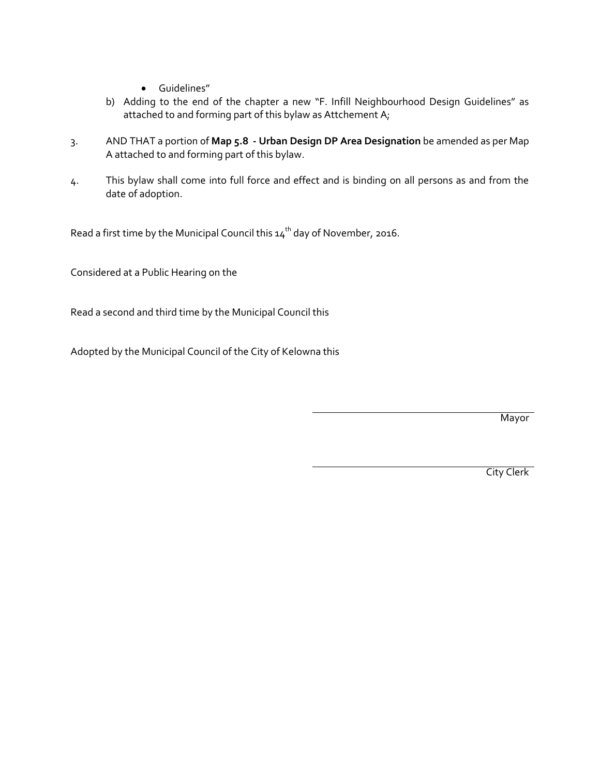- Guidelines"
- b) Adding to the end of the chapter a new "F. Infill Neighbourhood Design Guidelines" as attached to and forming part of this bylaw as Attchement A;
- 3. AND THAT a portion of **Map 5.8 - Urban Design DP Area Designation** be amended as per Map A attached to and forming part of this bylaw.
- 4. This bylaw shall come into full force and effect and is binding on all persons as and from the date of adoption.

Read a first time by the Municipal Council this  $14<sup>th</sup>$  day of November, 2016.

Considered at a Public Hearing on the

Read a second and third time by the Municipal Council this

Adopted by the Municipal Council of the City of Kelowna this

**Mayor** 

City Clerk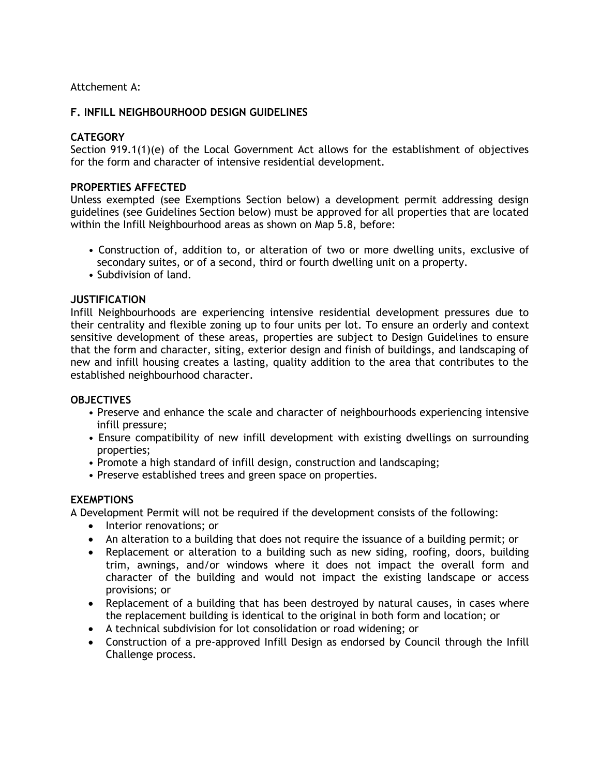## Attchement A:

#### **F. INFILL NEIGHBOURHOOD DESIGN GUIDELINES**

#### **CATEGORY**

Section 919.1(1)(e) of the Local Government Act allows for the establishment of objectives for the form and character of intensive residential development.

#### **PROPERTIES AFFECTED**

Unless exempted (see Exemptions Section below) a development permit addressing design guidelines (see Guidelines Section below) must be approved for all properties that are located within the Infill Neighbourhood areas as shown on Map 5.8, before:

- Construction of, addition to, or alteration of two or more dwelling units, exclusive of secondary suites, or of a second, third or fourth dwelling unit on a property.
- Subdivision of land.

#### **JUSTIFICATION**

Infill Neighbourhoods are experiencing intensive residential development pressures due to their centrality and flexible zoning up to four units per lot. To ensure an orderly and context sensitive development of these areas, properties are subject to Design Guidelines to ensure that the form and character, siting, exterior design and finish of buildings, and landscaping of new and infill housing creates a lasting, quality addition to the area that contributes to the established neighbourhood character.

#### **OBJECTIVES**

- Preserve and enhance the scale and character of neighbourhoods experiencing intensive infill pressure;
- Ensure compatibility of new infill development with existing dwellings on surrounding properties;
- Promote a high standard of infill design, construction and landscaping;
- Preserve established trees and green space on properties.

#### **EXEMPTIONS**

A Development Permit will not be required if the development consists of the following:

- Interior renovations; or
- An alteration to a building that does not require the issuance of a building permit; or
- Replacement or alteration to a building such as new siding, roofing, doors, building trim, awnings, and/or windows where it does not impact the overall form and character of the building and would not impact the existing landscape or access provisions; or
- Replacement of a building that has been destroyed by natural causes, in cases where the replacement building is identical to the original in both form and location; or
- A technical subdivision for lot consolidation or road widening; or
- Construction of a pre-approved Infill Design as endorsed by Council through the Infill Challenge process.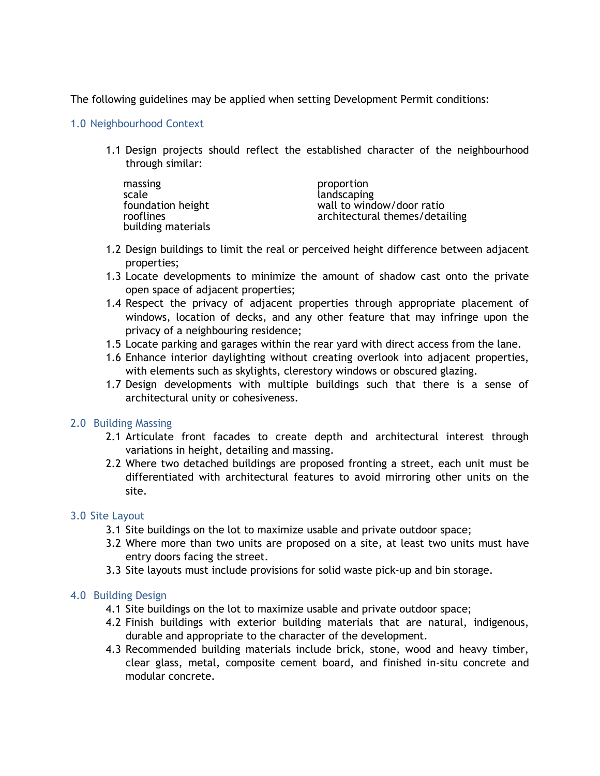The following guidelines may be applied when setting Development Permit conditions:

## 1.0 Neighbourhood Context

1.1 Design projects should reflect the established character of the neighbourhood through similar:

| massing            | proportion                     |
|--------------------|--------------------------------|
| scale              | landscaping                    |
| foundation height  | wall to window/door ratio      |
| rooflines          | architectural themes/detailing |
| building materials |                                |

- 1.2 Design buildings to limit the real or perceived height difference between adjacent properties;
- 1.3 Locate developments to minimize the amount of shadow cast onto the private open space of adjacent properties;
- 1.4 Respect the privacy of adjacent properties through appropriate placement of windows, location of decks, and any other feature that may infringe upon the privacy of a neighbouring residence;
- 1.5 Locate parking and garages within the rear yard with direct access from the lane.
- 1.6 Enhance interior daylighting without creating overlook into adjacent properties, with elements such as skylights, clerestory windows or obscured glazing.
- 1.7 Design developments with multiple buildings such that there is a sense of architectural unity or cohesiveness.

## 2.0 Building Massing

- 2.1 Articulate front facades to create depth and architectural interest through variations in height, detailing and massing.
- 2.2 Where two detached buildings are proposed fronting a street, each unit must be differentiated with architectural features to avoid mirroring other units on the site.

## 3.0 Site Layout

- 3.1 Site buildings on the lot to maximize usable and private outdoor space;
- 3.2 Where more than two units are proposed on a site, at least two units must have entry doors facing the street.
- 3.3 Site layouts must include provisions for solid waste pick-up and bin storage.

## 4.0 Building Design

- 4.1 Site buildings on the lot to maximize usable and private outdoor space;
- 4.2 Finish buildings with exterior building materials that are natural, indigenous, durable and appropriate to the character of the development.
- 4.3 Recommended building materials include brick, stone, wood and heavy timber, clear glass, metal, composite cement board, and finished in-situ concrete and modular concrete.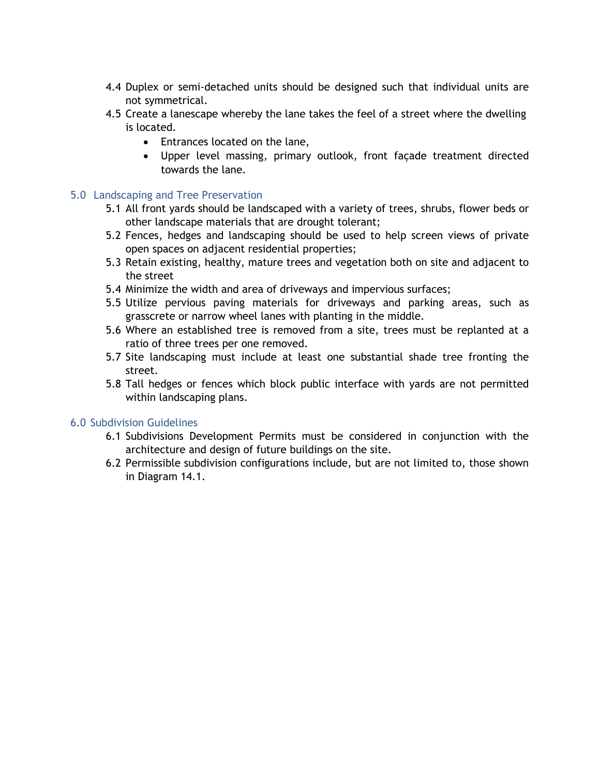- 4.4 Duplex or semi-detached units should be designed such that individual units are not symmetrical.
- 4.5 Create a lanescape whereby the lane takes the feel of a street where the dwelling is located.
	- Entrances located on the lane,
	- Upper level massing, primary outlook, front façade treatment directed towards the lane.

## 5.0 Landscaping and Tree Preservation

- 5.1 All front yards should be landscaped with a variety of trees, shrubs, flower beds or other landscape materials that are drought tolerant;
- 5.2 Fences, hedges and landscaping should be used to help screen views of private open spaces on adjacent residential properties;
- 5.3 Retain existing, healthy, mature trees and vegetation both on site and adjacent to the street
- 5.4 Minimize the width and area of driveways and impervious surfaces;
- 5.5 Utilize pervious paving materials for driveways and parking areas, such as grasscrete or narrow wheel lanes with planting in the middle.
- 5.6 Where an established tree is removed from a site, trees must be replanted at a ratio of three trees per one removed.
- 5.7 Site landscaping must include at least one substantial shade tree fronting the street.
- 5.8 Tall hedges or fences which block public interface with yards are not permitted within landscaping plans.

#### 6.0 Subdivision Guidelines

- 6.1 Subdivisions Development Permits must be considered in conjunction with the architecture and design of future buildings on the site.
- 6.2 Permissible subdivision configurations include, but are not limited to, those shown in Diagram 14.1.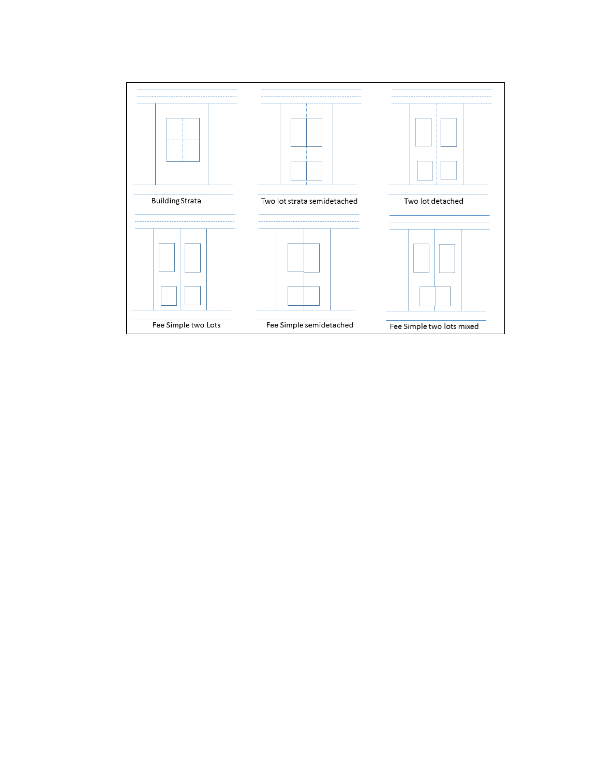